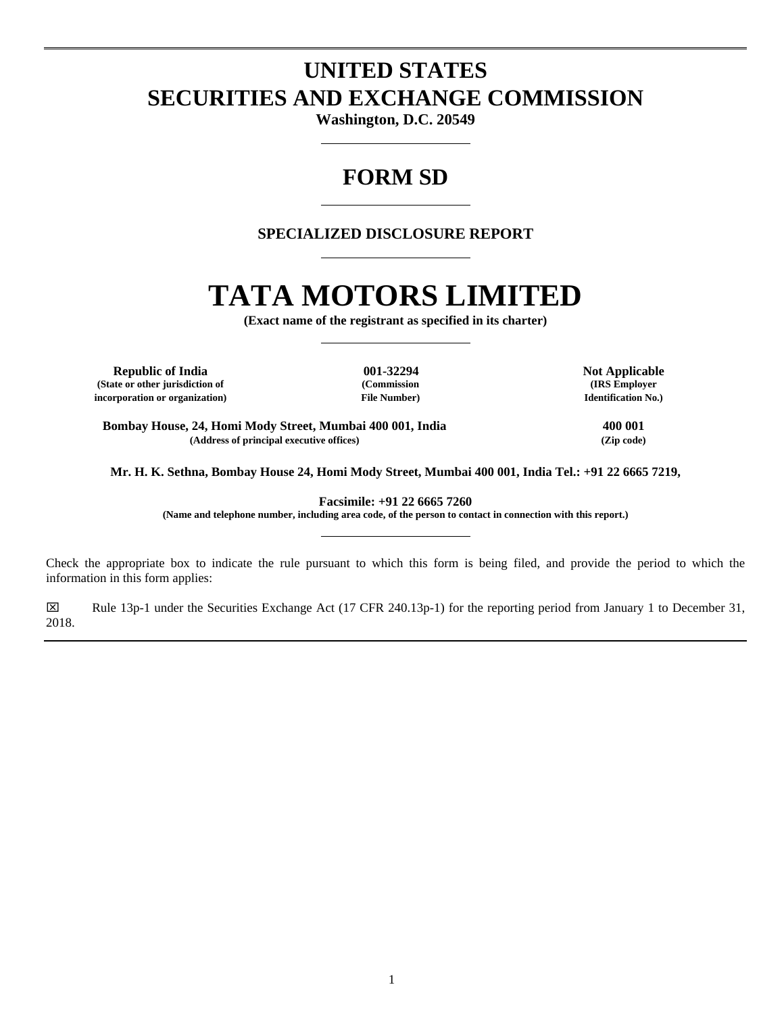# **UNITED STATES SECURITIES AND EXCHANGE COMMISSION**

**Washington, D.C. 20549**

# **FORM SD**

# **SPECIALIZED DISCLOSURE REPORT**

# **TATA MOTORS LIMITED**

**(Exact name of the registrant as specified in its charter)**

**Republic of India 001-32294 Not Applicable (State or other jurisdiction of (Commission (IRS Employer incorporation or organization) File Number) Identification No.)**

**Bombay House, 24, Homi Mody Street, Mumbai 400 001, India 400 001 (Address of principal executive offices) (Zip code)**

**Mr. H. K. Sethna, Bombay House 24, Homi Mody Street, Mumbai 400 001, India Tel.: +91 22 6665 7219,**

**Facsimile: +91 22 6665 7260**

**(Name and telephone number, including area code, of the person to contact in connection with this report.)**

Check the appropriate box to indicate the rule pursuant to which this form is being filed, and provide the period to which the information in this form applies:

Rule 13p-1 under the Securities Exchange Act (17 CFR 240.13p-1) for the reporting period from January 1 to December 31, 2018.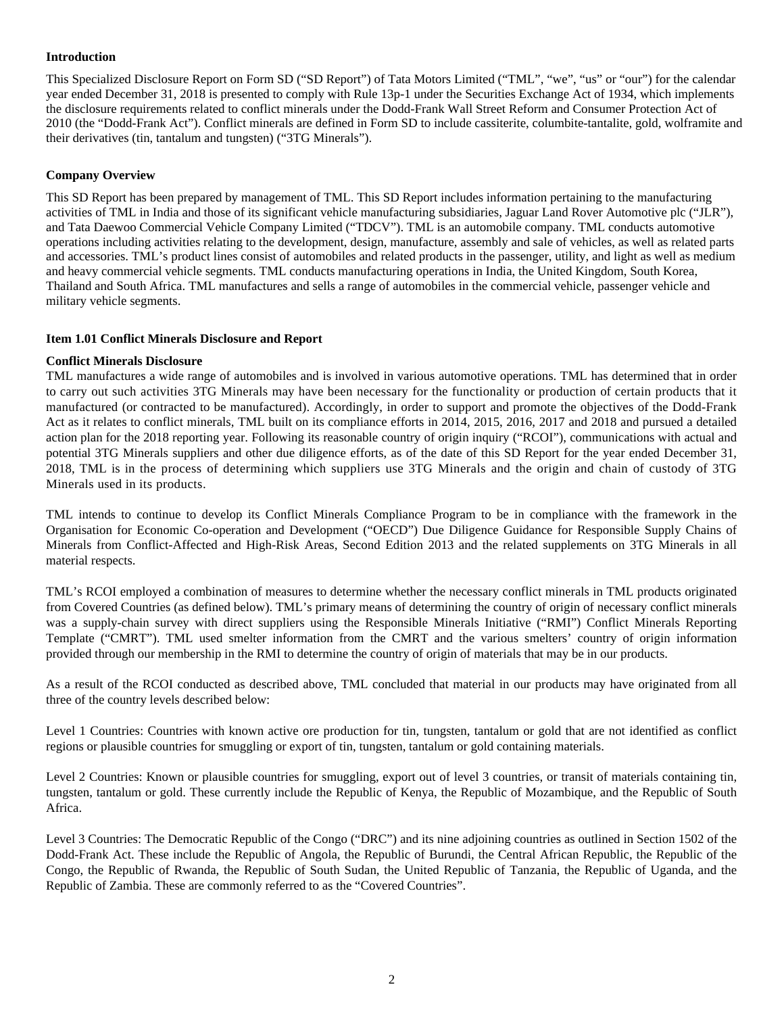# **Introduction**

This Specialized Disclosure Report on Form SD ("SD Report") of Tata Motors Limited ("TML", "we", "us" or "our") for the calendar year ended December 31, 2018 is presented to comply with Rule 13p-1 under the Securities Exchange Act of 1934, which implements the disclosure requirements related to conflict minerals under the Dodd-Frank Wall Street Reform and Consumer Protection Act of 2010 (the "Dodd-Frank Act"). Conflict minerals are defined in Form SD to include cassiterite, columbite-tantalite, gold, wolframite and their derivatives (tin, tantalum and tungsten) ("3TG Minerals").

# **Company Overview**

This SD Report has been prepared by management of TML. This SD Report includes information pertaining to the manufacturing activities of TML in India and those of its significant vehicle manufacturing subsidiaries, Jaguar Land Rover Automotive plc ("JLR"), and Tata Daewoo Commercial Vehicle Company Limited ("TDCV"). TML is an automobile company. TML conducts automotive operations including activities relating to the development, design, manufacture, assembly and sale of vehicles, as well as related parts and accessories. TML's product lines consist of automobiles and related products in the passenger, utility, and light as well as medium and heavy commercial vehicle segments. TML conducts manufacturing operations in India, the United Kingdom, South Korea, Thailand and South Africa. TML manufactures and sells a range of automobiles in the commercial vehicle, passenger vehicle and military vehicle segments.

# **Item 1.01 Conflict Minerals Disclosure and Report**

## **Conflict Minerals Disclosure**

TML manufactures a wide range of automobiles and is involved in various automotive operations. TML has determined that in order to carry out such activities 3TG Minerals may have been necessary for the functionality or production of certain products that it manufactured (or contracted to be manufactured). Accordingly, in order to support and promote the objectives of the Dodd-Frank Act as it relates to conflict minerals, TML built on its compliance efforts in 2014, 2015, 2016, 2017 and 2018 and pursued a detailed action plan for the 2018 reporting year. Following its reasonable country of origin inquiry ("RCOI"), communications with actual and potential 3TG Minerals suppliers and other due diligence efforts, as of the date of this SD Report for the year ended December 31, 2018, TML is in the process of determining which suppliers use 3TG Minerals and the origin and chain of custody of 3TG Minerals used in its products.

TML intends to continue to develop its Conflict Minerals Compliance Program to be in compliance with the framework in the Organisation for Economic Co-operation and Development ("OECD") Due Diligence Guidance for Responsible Supply Chains of Minerals from Conflict-Affected and High-Risk Areas, Second Edition 2013 and the related supplements on 3TG Minerals in all material respects.

TML's RCOI employed a combination of measures to determine whether the necessary conflict minerals in TML products originated from Covered Countries (as defined below). TML's primary means of determining the country of origin of necessary conflict minerals was a supply-chain survey with direct suppliers using the Responsible Minerals Initiative ("RMI") Conflict Minerals Reporting Template ("CMRT"). TML used smelter information from the CMRT and the various smelters' country of origin information provided through our membership in the RMI to determine the country of origin of materials that may be in our products.

As a result of the RCOI conducted as described above, TML concluded that material in our products may have originated from all three of the country levels described below:

Level 1 Countries: Countries with known active ore production for tin, tungsten, tantalum or gold that are not identified as conflict regions or plausible countries for smuggling or export of tin, tungsten, tantalum or gold containing materials.

Level 2 Countries: Known or plausible countries for smuggling, export out of level 3 countries, or transit of materials containing tin, tungsten, tantalum or gold. These currently include the Republic of Kenya, the Republic of Mozambique, and the Republic of South Africa.

Level 3 Countries: The Democratic Republic of the Congo ("DRC") and its nine adjoining countries as outlined in Section 1502 of the Dodd-Frank Act. These include the Republic of Angola, the Republic of Burundi, the Central African Republic, the Republic of the Congo, the Republic of Rwanda, the Republic of South Sudan, the United Republic of Tanzania, the Republic of Uganda, and the Republic of Zambia. These are commonly referred to as the "Covered Countries".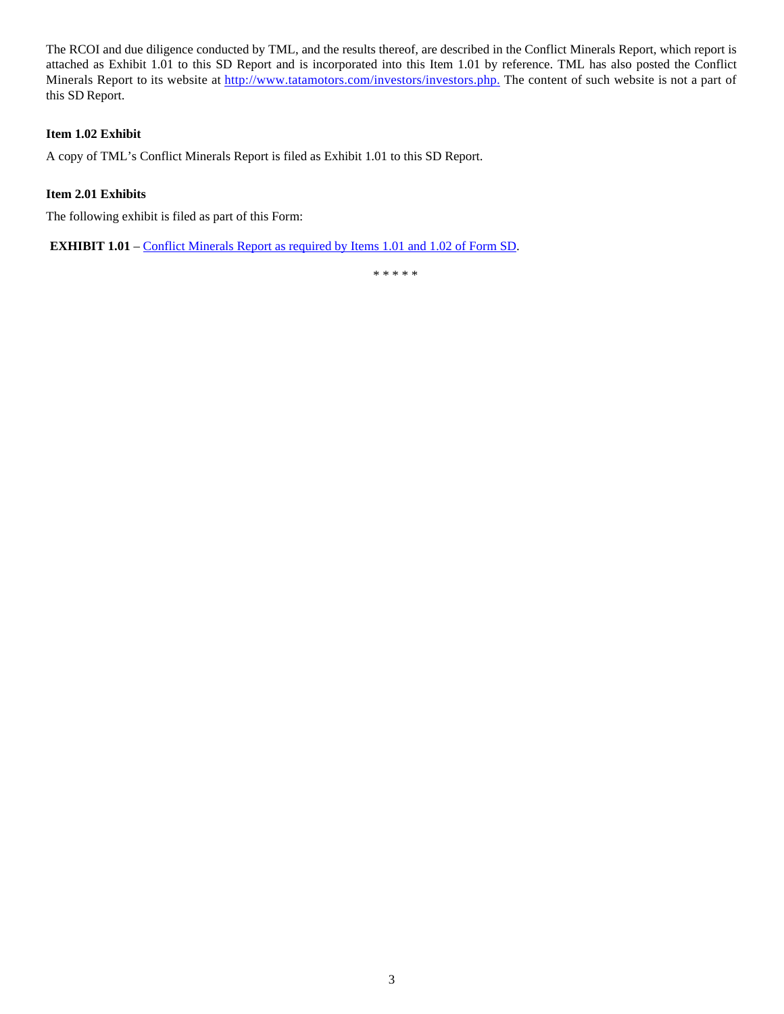The RCOI and due diligence conducted by TML, and the results thereof, are described in the Conflict Minerals Report, which report is attached as Exhibit 1.01 to this SD Report and is incorporated into this Item 1.01 by reference. TML has also posted the Conflict Minerals Report to its website at http://www.tatamotors.com/investors/investors.php. The content of such website is not a part of this SD Report.

# **Item 1.02 Exhibit**

A copy of TML's Conflict Minerals Report is filed as Exhibit 1.01 to this SD Report.

# **Item 2.01 Exhibits**

The following exhibit is filed as part of this Form:

**EXHIBIT 1.01** – Conflict Minerals Report as required by Items 1.01 and 1.02 of Form SD.

\* \* \* \* \*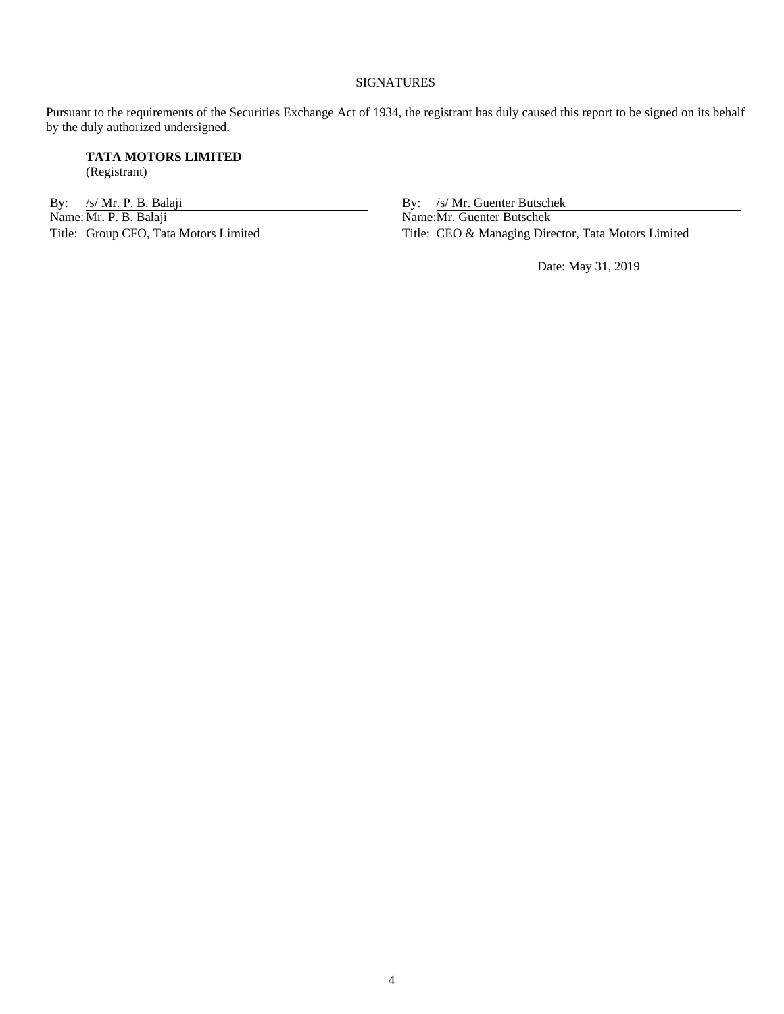#### SIGNATURES

Pursuant to the requirements of the Securities Exchange Act of 1934, the registrant has duly caused this report to be signed on its behalf by the duly authorized undersigned.

**TATA MOTORS LIMITED** (Registrant)

By: /s/ Mr. P. B. Balaji By: /s/ Mr. Guenter Butschek<br>Name: Mr. P. B. Balaji By: /s/ Mr. Guenter Butschek<br>Name: Mr. Guenter Butschek Name: Mr. P. B. Balaji Name: Mr. Guenter Butschek<br>Title: Group CFO, Tata Motors Limited Title: CEO & Managing Direction

Title: CEO & Managing Director, Tata Motors Limited

Date: May 31, 2019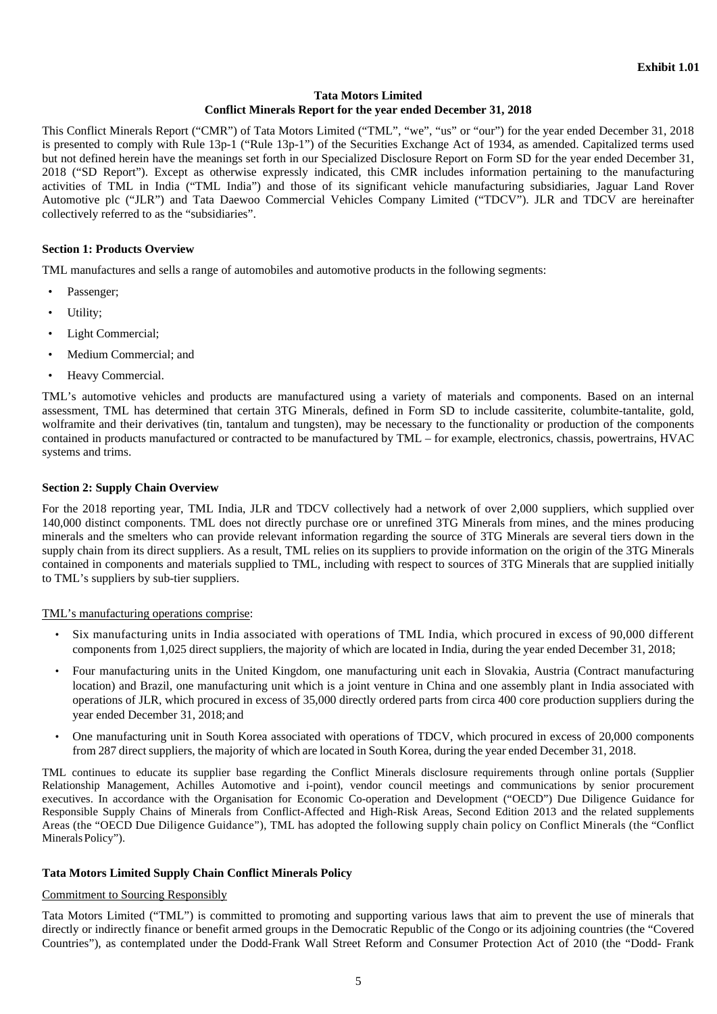# **Tata Motors Limited**

# **Conflict Minerals Report for the year ended December 31, 2018**

This Conflict Minerals Report ("CMR") of Tata Motors Limited ("TML", "we", "us" or "our") for the year ended December 31, 2018 is presented to comply with Rule 13p-1 ("Rule 13p-1") of the Securities Exchange Act of 1934, as amended. Capitalized terms used but not defined herein have the meanings set forth in our Specialized Disclosure Report on Form SD for the year ended December 31, 2018 ("SD Report"). Except as otherwise expressly indicated, this CMR includes information pertaining to the manufacturing activities of TML in India ("TML India") and those of its significant vehicle manufacturing subsidiaries, Jaguar Land Rover Automotive plc ("JLR") and Tata Daewoo Commercial Vehicles Company Limited ("TDCV"). JLR and TDCV are hereinafter collectively referred to as the "subsidiaries".

#### **Section 1: Products Overview**

TML manufactures and sells a range of automobiles and automotive products in the following segments:

- Passenger;
- Utility;
- Light Commercial;
- Medium Commercial; and
- Heavy Commercial.

TML's automotive vehicles and products are manufactured using a variety of materials and components. Based on an internal assessment, TML has determined that certain 3TG Minerals, defined in Form SD to include cassiterite, columbite-tantalite, gold, wolframite and their derivatives (tin, tantalum and tungsten), may be necessary to the functionality or production of the components contained in products manufactured or contracted to be manufactured by TML – for example, electronics, chassis, powertrains, HVAC systems and trims.

#### **Section 2: Supply Chain Overview**

For the 2018 reporting year, TML India, JLR and TDCV collectively had a network of over 2,000 suppliers, which supplied over 140,000 distinct components. TML does not directly purchase ore or unrefined 3TG Minerals from mines, and the mines producing minerals and the smelters who can provide relevant information regarding the source of 3TG Minerals are several tiers down in the supply chain from its direct suppliers. As a result, TML relies on its suppliers to provide information on the origin of the 3TG Minerals contained in components and materials supplied to TML, including with respect to sources of 3TG Minerals that are supplied initially to TML's suppliers by sub-tier suppliers.

# TML's manufacturing operations comprise:

- Six manufacturing units in India associated with operations of TML India, which procured in excess of 90,000 different components from 1,025 direct suppliers, the majority of which are located in India, during the year ended December 31, 2018;
- Four manufacturing units in the United Kingdom, one manufacturing unit each in Slovakia, Austria (Contract manufacturing location) and Brazil, one manufacturing unit which is a joint venture in China and one assembly plant in India associated with operations of JLR, which procured in excess of 35,000 directly ordered parts from circa 400 core production suppliers during the year ended December 31, 2018; and
- One manufacturing unit in South Korea associated with operations of TDCV, which procured in excess of 20,000 components from 287 direct suppliers, the majority of which are located in South Korea, during the year ended December 31, 2018.

TML continues to educate its supplier base regarding the Conflict Minerals disclosure requirements through online portals (Supplier Relationship Management, Achilles Automotive and i-point), vendor council meetings and communications by senior procurement executives. In accordance with the Organisation for Economic Co-operation and Development ("OECD") Due Diligence Guidance for Responsible Supply Chains of Minerals from Conflict-Affected and High-Risk Areas, Second Edition 2013 and the related supplements Areas (the "OECD Due Diligence Guidance"), TML has adopted the following supply chain policy on Conflict Minerals (the "Conflict Minerals Policy").

# **Tata Motors Limited Supply Chain Conflict Minerals Policy**

#### Commitment to Sourcing Responsibly

Tata Motors Limited ("TML") is committed to promoting and supporting various laws that aim to prevent the use of minerals that directly or indirectly finance or benefit armed groups in the Democratic Republic of the Congo or its adjoining countries (the "Covered Countries"), as contemplated under the Dodd-Frank Wall Street Reform and Consumer Protection Act of 2010 (the "Dodd- Frank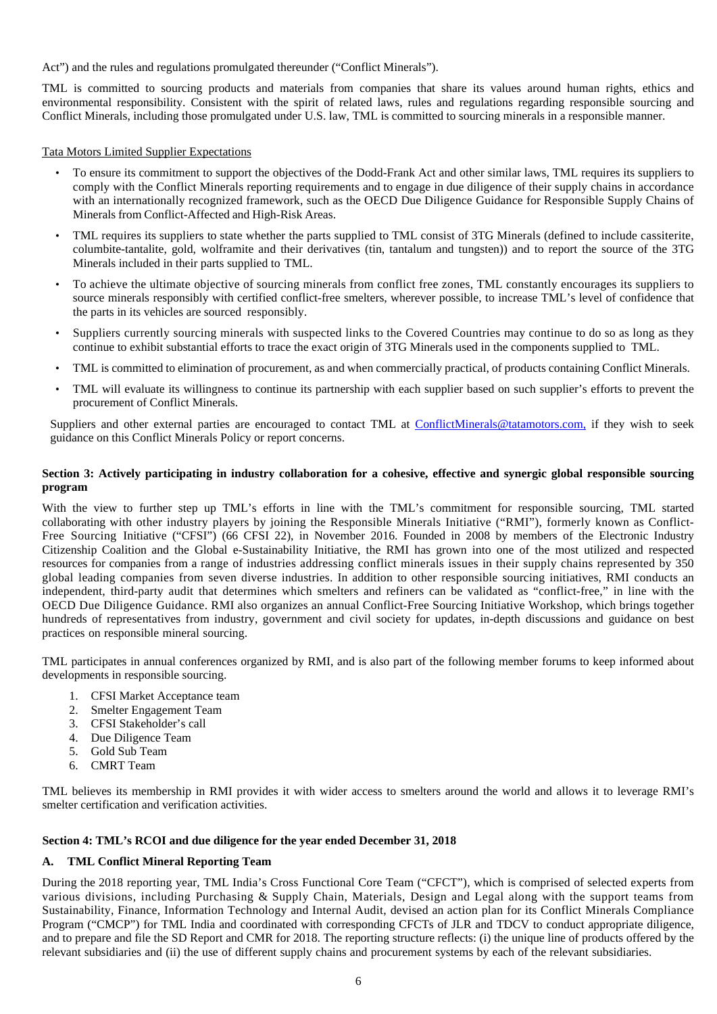Act") and the rules and regulations promulgated thereunder ("Conflict Minerals").

TML is committed to sourcing products and materials from companies that share its values around human rights, ethics and environmental responsibility. Consistent with the spirit of related laws, rules and regulations regarding responsible sourcing and Conflict Minerals, including those promulgated under U.S. law, TML is committed to sourcing minerals in a responsible manner.

Tata Motors Limited Supplier Expectations

- To ensure its commitment to support the objectives of the Dodd-Frank Act and other similar laws, TML requires its suppliers to comply with the Conflict Minerals reporting requirements and to engage in due diligence of their supply chains in accordance with an internationally recognized framework, such as the OECD Due Diligence Guidance for Responsible Supply Chains of Minerals from Conflict-Affected and High-Risk Areas.
- TML requires its suppliers to state whether the parts supplied to TML consist of 3TG Minerals (defined to include cassiterite, columbite-tantalite, gold, wolframite and their derivatives (tin, tantalum and tungsten)) and to report the source of the 3TG Minerals included in their parts supplied to TML.
- To achieve the ultimate objective of sourcing minerals from conflict free zones, TML constantly encourages its suppliers to source minerals responsibly with certified conflict-free smelters, wherever possible, to increase TML's level of confidence that the parts in its vehicles are sourced responsibly.
- Suppliers currently sourcing minerals with suspected links to the Covered Countries may continue to do so as long as they continue to exhibit substantial efforts to trace the exact origin of 3TG Minerals used in the components supplied to TML.
- TML is committed to elimination of procurement, as and when commercially practical, of products containing Conflict Minerals.
- TML will evaluate its willingness to continue its partnership with each supplier based on such supplier's efforts to prevent the procurement of Conflict Minerals.

Suppliers and other external parties are encouraged to contact TML at ConflictMinerals@tatamotors.com, if they wish to seek guidance on this Conflict Minerals Policy or report concerns.

# **Section 3: Actively participating in industry collaboration for a cohesive, effective and synergic global responsible sourcing program**

With the view to further step up TML's efforts in line with the TML's commitment for responsible sourcing, TML started collaborating with other industry players by joining the Responsible Minerals Initiative ("RMI"), formerly known as Conflict-Free Sourcing Initiative ("CFSI") (66 CFSI 22), in November 2016. Founded in 2008 by members of the Electronic Industry Citizenship Coalition and the Global e-Sustainability Initiative, the RMI has grown into one of the most utilized and respected resources for companies from a range of industries addressing conflict minerals issues in their supply chains represented by 350 global leading companies from seven diverse industries. In addition to other responsible sourcing initiatives, RMI conducts an independent, third-party audit that determines which smelters and refiners can be validated as "conflict-free," in line with the OECD Due Diligence Guidance. RMI also organizes an annual Conflict-Free Sourcing Initiative Workshop, which brings together hundreds of representatives from industry, government and civil society for updates, in-depth discussions and guidance on best practices on responsible mineral sourcing.

TML participates in annual conferences organized by RMI, and is also part of the following member forums to keep informed about developments in responsible sourcing.

- 1. CFSI Market Acceptance team
- 2. Smelter Engagement Team
- 3. CFSI Stakeholder's call
- 4. Due Diligence Team
- 5. Gold Sub Team
- 6. CMRT Team

TML believes its membership in RMI provides it with wider access to smelters around the world and allows it to leverage RMI's smelter certification and verification activities.

# **Section 4: TML's RCOI and due diligence for the year ended December 31, 2018**

# **A. TML Conflict Mineral Reporting Team**

During the 2018 reporting year, TML India's Cross Functional Core Team ("CFCT"), which is comprised of selected experts from various divisions, including Purchasing & Supply Chain, Materials, Design and Legal along with the support teams from Sustainability, Finance, Information Technology and Internal Audit, devised an action plan for its Conflict Minerals Compliance Program ("CMCP") for TML India and coordinated with corresponding CFCTs of JLR and TDCV to conduct appropriate diligence, and to prepare and file the SD Report and CMR for 2018. The reporting structure reflects: (i) the unique line of products offered by the relevant subsidiaries and (ii) the use of different supply chains and procurement systems by each of the relevant subsidiaries.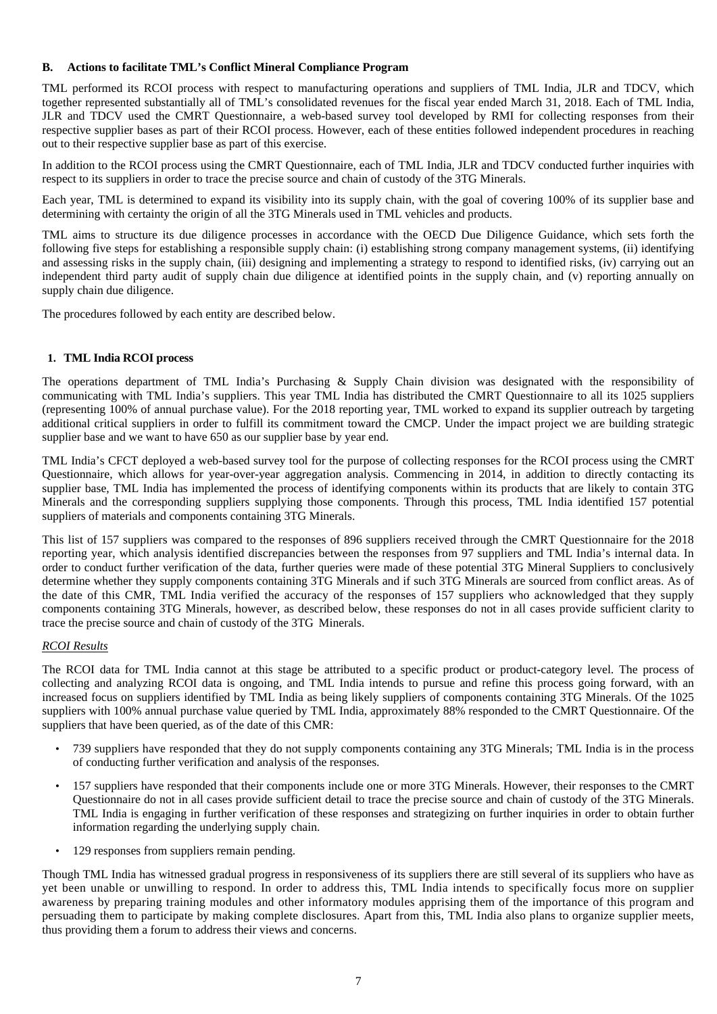# **B. Actions to facilitate TML's Conflict Mineral Compliance Program**

TML performed its RCOI process with respect to manufacturing operations and suppliers of TML India, JLR and TDCV, which together represented substantially all of TML's consolidated revenues for the fiscal year ended March 31, 2018. Each of TML India, JLR and TDCV used the CMRT Questionnaire, a web-based survey tool developed by RMI for collecting responses from their respective supplier bases as part of their RCOI process. However, each of these entities followed independent procedures in reaching out to their respective supplier base as part of this exercise.

In addition to the RCOI process using the CMRT Questionnaire, each of TML India, JLR and TDCV conducted further inquiries with respect to its suppliers in order to trace the precise source and chain of custody of the 3TG Minerals.

Each year, TML is determined to expand its visibility into its supply chain, with the goal of covering 100% of its supplier base and determining with certainty the origin of all the 3TG Minerals used in TML vehicles and products.

TML aims to structure its due diligence processes in accordance with the OECD Due Diligence Guidance, which sets forth the following five steps for establishing a responsible supply chain: (i) establishing strong company management systems, (ii) identifying and assessing risks in the supply chain, (iii) designing and implementing a strategy to respond to identified risks, (iv) carrying out an independent third party audit of supply chain due diligence at identified points in the supply chain, and (v) reporting annually on supply chain due diligence.

The procedures followed by each entity are described below.

# **1. TML India RCOI process**

The operations department of TML India's Purchasing & Supply Chain division was designated with the responsibility of communicating with TML India's suppliers. This year TML India has distributed the CMRT Questionnaire to all its 1025 suppliers (representing 100% of annual purchase value). For the 2018 reporting year, TML worked to expand its supplier outreach by targeting additional critical suppliers in order to fulfill its commitment toward the CMCP. Under the impact project we are building strategic supplier base and we want to have 650 as our supplier base by year end.

TML India's CFCT deployed a web-based survey tool for the purpose of collecting responses for the RCOI process using the CMRT Questionnaire, which allows for year-over-year aggregation analysis. Commencing in 2014, in addition to directly contacting its supplier base, TML India has implemented the process of identifying components within its products that are likely to contain 3TG Minerals and the corresponding suppliers supplying those components. Through this process, TML India identified 157 potential suppliers of materials and components containing 3TG Minerals.

This list of 157 suppliers was compared to the responses of 896 suppliers received through the CMRT Questionnaire for the 2018 reporting year, which analysis identified discrepancies between the responses from 97 suppliers and TML India's internal data. In order to conduct further verification of the data, further queries were made of these potential 3TG Mineral Suppliers to conclusively determine whether they supply components containing 3TG Minerals and if such 3TG Minerals are sourced from conflict areas. As of the date of this CMR, TML India verified the accuracy of the responses of 157 suppliers who acknowledged that they supply components containing 3TG Minerals, however, as described below, these responses do not in all cases provide sufficient clarity to trace the precise source and chain of custody of the 3TG Minerals.

# *RCOI Results*

The RCOI data for TML India cannot at this stage be attributed to a specific product or product-category level. The process of collecting and analyzing RCOI data is ongoing, and TML India intends to pursue and refine this process going forward, with an increased focus on suppliers identified by TML India as being likely suppliers of components containing 3TG Minerals. Of the 1025 suppliers with 100% annual purchase value queried by TML India, approximately 88% responded to the CMRT Questionnaire. Of the suppliers that have been queried, as of the date of this CMR:

- 739 suppliers have responded that they do not supply components containing any 3TG Minerals; TML India is in the process of conducting further verification and analysis of the responses.
- 157 suppliers have responded that their components include one or more 3TG Minerals. However, their responses to the CMRT Questionnaire do not in all cases provide sufficient detail to trace the precise source and chain of custody of the 3TG Minerals. TML India is engaging in further verification of these responses and strategizing on further inquiries in order to obtain further information regarding the underlying supply chain.
- 129 responses from suppliers remain pending.

Though TML India has witnessed gradual progress in responsiveness of its suppliers there are still several of its suppliers who have as yet been unable or unwilling to respond. In order to address this, TML India intends to specifically focus more on supplier awareness by preparing training modules and other informatory modules apprising them of the importance of this program and persuading them to participate by making complete disclosures. Apart from this, TML India also plans to organize supplier meets, thus providing them a forum to address their views and concerns.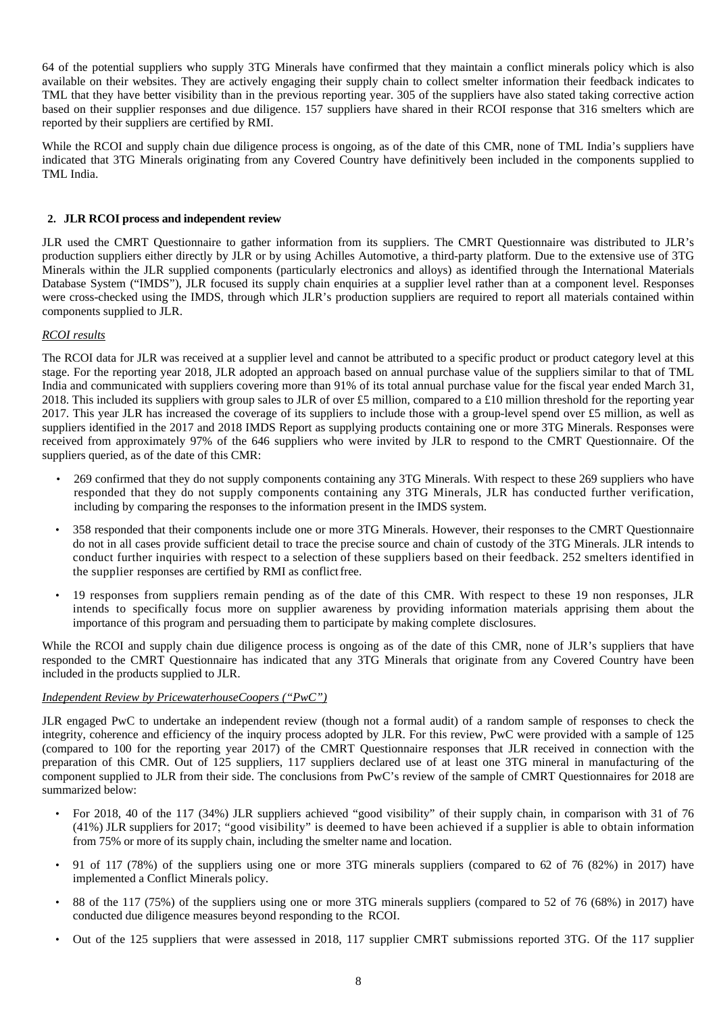64 of the potential suppliers who supply 3TG Minerals have confirmed that they maintain a conflict minerals policy which is also available on their websites. They are actively engaging their supply chain to collect smelter information their feedback indicates to TML that they have better visibility than in the previous reporting year. 305 of the suppliers have also stated taking corrective action based on their supplier responses and due diligence. 157 suppliers have shared in their RCOI response that 316 smelters which are reported by their suppliers are certified by RMI.

While the RCOI and supply chain due diligence process is ongoing, as of the date of this CMR, none of TML India's suppliers have indicated that 3TG Minerals originating from any Covered Country have definitively been included in the components supplied to TML India.

# **2. JLR RCOI process and independent review**

JLR used the CMRT Questionnaire to gather information from its suppliers. The CMRT Questionnaire was distributed to JLR's production suppliers either directly by JLR or by using Achilles Automotive, a third-party platform. Due to the extensive use of 3TG Minerals within the JLR supplied components (particularly electronics and alloys) as identified through the International Materials Database System ("IMDS"), JLR focused its supply chain enquiries at a supplier level rather than at a component level. Responses were cross-checked using the IMDS, through which JLR's production suppliers are required to report all materials contained within components supplied to JLR.

# *RCOI results*

The RCOI data for JLR was received at a supplier level and cannot be attributed to a specific product or product category level at this stage. For the reporting year 2018, JLR adopted an approach based on annual purchase value of the suppliers similar to that of TML India and communicated with suppliers covering more than 91% of its total annual purchase value for the fiscal year ended March 31, 2018. This included its suppliers with group sales to JLR of over £5 million, compared to a £10 million threshold for the reporting year 2017. This year JLR has increased the coverage of its suppliers to include those with a group-level spend over £5 million, as well as suppliers identified in the 2017 and 2018 IMDS Report as supplying products containing one or more 3TG Minerals. Responses were received from approximately 97% of the 646 suppliers who were invited by JLR to respond to the CMRT Questionnaire. Of the suppliers queried, as of the date of this CMR:

- 269 confirmed that they do not supply components containing any 3TG Minerals. With respect to these 269 suppliers who have responded that they do not supply components containing any 3TG Minerals, JLR has conducted further verification, including by comparing the responses to the information present in the IMDS system.
- 358 responded that their components include one or more 3TG Minerals. However, their responses to the CMRT Questionnaire do not in all cases provide sufficient detail to trace the precise source and chain of custody of the 3TG Minerals. JLR intends to conduct further inquiries with respect to a selection of these suppliers based on their feedback. 252 smelters identified in the supplier responses are certified by RMI as conflict free.
- 19 responses from suppliers remain pending as of the date of this CMR. With respect to these 19 non responses, JLR intends to specifically focus more on supplier awareness by providing information materials apprising them about the importance of this program and persuading them to participate by making complete disclosures.

While the RCOI and supply chain due diligence process is ongoing as of the date of this CMR, none of JLR's suppliers that have responded to the CMRT Questionnaire has indicated that any 3TG Minerals that originate from any Covered Country have been included in the products supplied to JLR.

#### *Independent Review by PricewaterhouseCoopers ("PwC")*

JLR engaged PwC to undertake an independent review (though not a formal audit) of a random sample of responses to check the integrity, coherence and efficiency of the inquiry process adopted by JLR. For this review, PwC were provided with a sample of 125 (compared to 100 for the reporting year 2017) of the CMRT Questionnaire responses that JLR received in connection with the preparation of this CMR. Out of 125 suppliers, 117 suppliers declared use of at least one 3TG mineral in manufacturing of the component supplied to JLR from their side. The conclusions from PwC's review of the sample of CMRT Questionnaires for 2018 are summarized below:

- For 2018, 40 of the 117 (34%) JLR suppliers achieved "good visibility" of their supply chain, in comparison with 31 of 76 (41%) JLR suppliers for 2017; "good visibility" is deemed to have been achieved if a supplier is able to obtain information from 75% or more of its supply chain, including the smelter name and location.
- 91 of 117 (78%) of the suppliers using one or more 3TG minerals suppliers (compared to 62 of 76 (82%) in 2017) have implemented a Conflict Minerals policy.
- 88 of the 117 (75%) of the suppliers using one or more 3TG minerals suppliers (compared to 52 of 76 (68%) in 2017) have conducted due diligence measures beyond responding to the RCOI.
- Out of the 125 suppliers that were assessed in 2018, 117 supplier CMRT submissions reported 3TG. Of the 117 supplier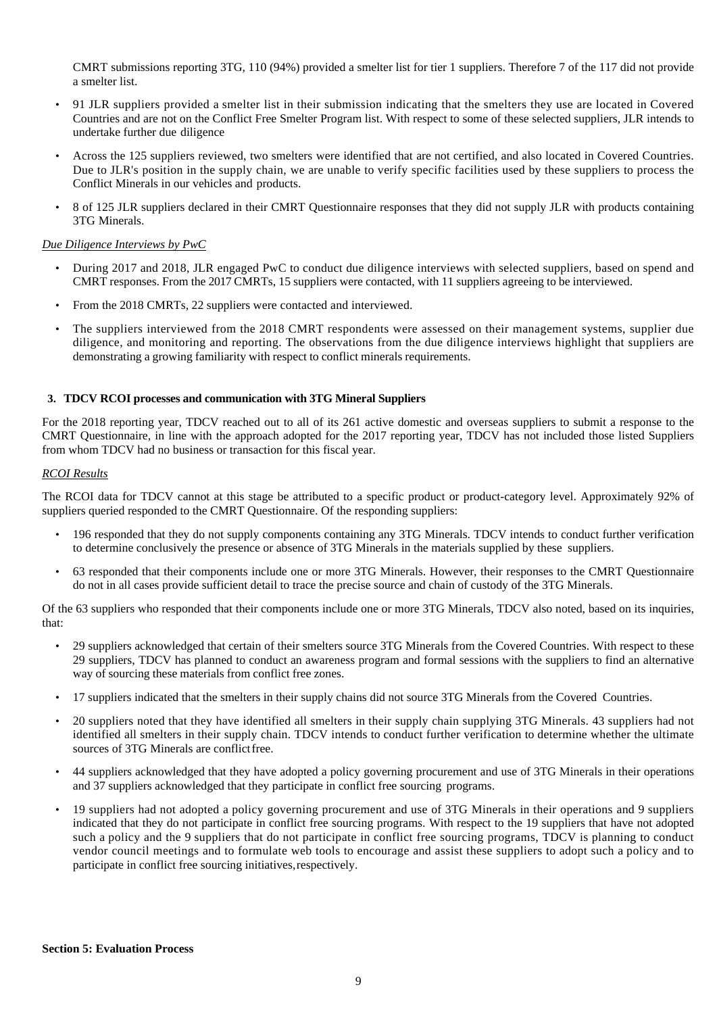CMRT submissions reporting 3TG, 110 (94%) provided a smelter list for tier 1 suppliers. Therefore 7 of the 117 did not provide a smelter list.

- 91 JLR suppliers provided a smelter list in their submission indicating that the smelters they use are located in Covered Countries and are not on the Conflict Free Smelter Program list. With respect to some of these selected suppliers, JLR intends to undertake further due diligence
- Across the 125 suppliers reviewed, two smelters were identified that are not certified, and also located in Covered Countries. Due to JLR's position in the supply chain, we are unable to verify specific facilities used by these suppliers to process the Conflict Minerals in our vehicles and products.
- 8 of 125 JLR suppliers declared in their CMRT Questionnaire responses that they did not supply JLR with products containing 3TG Minerals.

#### *Due Diligence Interviews by PwC*

- During 2017 and 2018, JLR engaged PwC to conduct due diligence interviews with selected suppliers, based on spend and CMRT responses. From the 2017 CMRTs, 15 suppliers were contacted, with 11 suppliers agreeing to be interviewed.
- From the 2018 CMRTs, 22 suppliers were contacted and interviewed.
- The suppliers interviewed from the 2018 CMRT respondents were assessed on their management systems, supplier due diligence, and monitoring and reporting. The observations from the due diligence interviews highlight that suppliers are demonstrating a growing familiarity with respect to conflict minerals requirements.

#### **3. TDCV RCOI processes and communication with 3TG Mineral Suppliers**

For the 2018 reporting year, TDCV reached out to all of its 261 active domestic and overseas suppliers to submit a response to the CMRT Questionnaire, in line with the approach adopted for the 2017 reporting year, TDCV has not included those listed Suppliers from whom TDCV had no business or transaction for this fiscal year.

#### *RCOI Results*

The RCOI data for TDCV cannot at this stage be attributed to a specific product or product-category level. Approximately 92% of suppliers queried responded to the CMRT Questionnaire. Of the responding suppliers:

- 196 responded that they do not supply components containing any 3TG Minerals. TDCV intends to conduct further verification to determine conclusively the presence or absence of 3TG Minerals in the materials supplied by these suppliers.
- 63 responded that their components include one or more 3TG Minerals. However, their responses to the CMRT Questionnaire do not in all cases provide sufficient detail to trace the precise source and chain of custody of the 3TG Minerals.

Of the 63 suppliers who responded that their components include one or more 3TG Minerals, TDCV also noted, based on its inquiries, that:

- 29 suppliers acknowledged that certain of their smelters source 3TG Minerals from the Covered Countries. With respect to these 29 suppliers, TDCV has planned to conduct an awareness program and formal sessions with the suppliers to find an alternative way of sourcing these materials from conflict free zones.
- 17 suppliers indicated that the smelters in their supply chains did not source 3TG Minerals from the Covered Countries.
- 20 suppliers noted that they have identified all smelters in their supply chain supplying 3TG Minerals. 43 suppliers had not identified all smelters in their supply chain. TDCV intends to conduct further verification to determine whether the ultimate sources of 3TG Minerals are conflict free.
- 44 suppliers acknowledged that they have adopted a policy governing procurement and use of 3TG Minerals in their operations and 37 suppliers acknowledged that they participate in conflict free sourcing programs.
- 19 suppliers had not adopted a policy governing procurement and use of 3TG Minerals in their operations and 9 suppliers indicated that they do not participate in conflict free sourcing programs. With respect to the 19 suppliers that have not adopted such a policy and the 9 suppliers that do not participate in conflict free sourcing programs, TDCV is planning to conduct vendor council meetings and to formulate web tools to encourage and assist these suppliers to adopt such a policy and to participate in conflict free sourcing initiatives, respectively.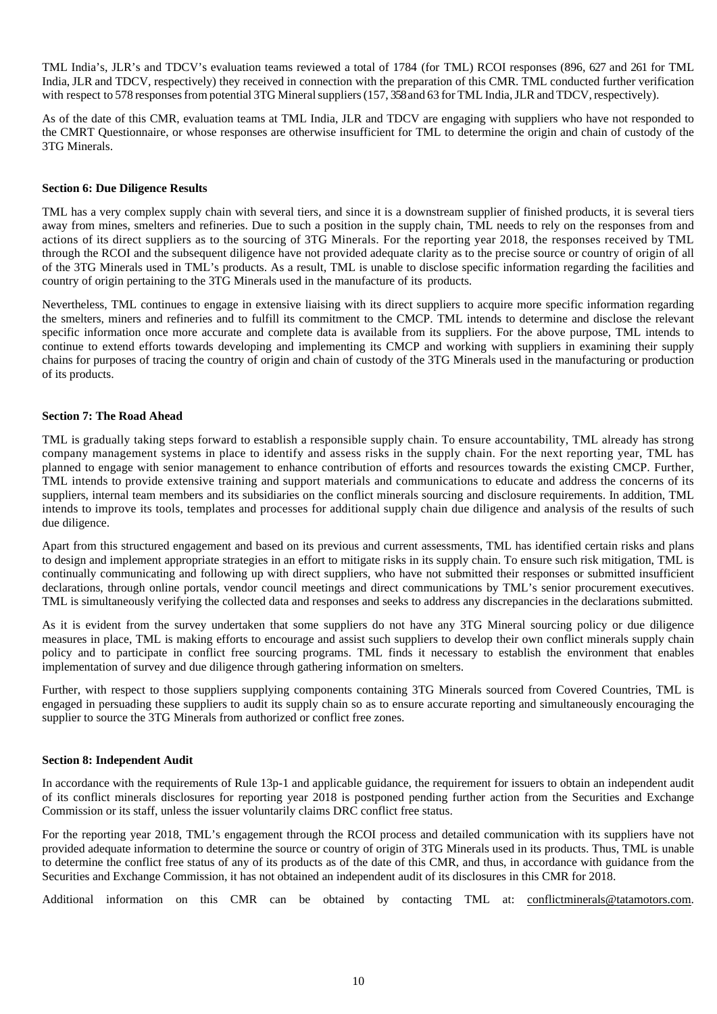TML India's, JLR's and TDCV's evaluation teams reviewed a total of 1784 (for TML) RCOI responses (896, 627 and 261 for TML India, JLR and TDCV, respectively) they received in connection with the preparation of this CMR. TML conducted further verification with respect to 578 responses from potential 3TG Mineral suppliers (157, 358 and 63 for TML India, JLR and TDCV, respectively).

As of the date of this CMR, evaluation teams at TML India, JLR and TDCV are engaging with suppliers who have not responded to the CMRT Questionnaire, or whose responses are otherwise insufficient for TML to determine the origin and chain of custody of the 3TG Minerals.

#### **Section 6: Due Diligence Results**

TML has a very complex supply chain with several tiers, and since it is a downstream supplier of finished products, it is several tiers away from mines, smelters and refineries. Due to such a position in the supply chain, TML needs to rely on the responses from and actions of its direct suppliers as to the sourcing of 3TG Minerals. For the reporting year 2018, the responses received by TML through the RCOI and the subsequent diligence have not provided adequate clarity as to the precise source or country of origin of all of the 3TG Minerals used in TML's products. As a result, TML is unable to disclose specific information regarding the facilities and country of origin pertaining to the 3TG Minerals used in the manufacture of its products.

Nevertheless, TML continues to engage in extensive liaising with its direct suppliers to acquire more specific information regarding the smelters, miners and refineries and to fulfill its commitment to the CMCP. TML intends to determine and disclose the relevant specific information once more accurate and complete data is available from its suppliers. For the above purpose, TML intends to continue to extend efforts towards developing and implementing its CMCP and working with suppliers in examining their supply chains for purposes of tracing the country of origin and chain of custody of the 3TG Minerals used in the manufacturing or production of its products.

#### **Section 7: The Road Ahead**

TML is gradually taking steps forward to establish a responsible supply chain. To ensure accountability, TML already has strong company management systems in place to identify and assess risks in the supply chain. For the next reporting year, TML has planned to engage with senior management to enhance contribution of efforts and resources towards the existing CMCP. Further, TML intends to provide extensive training and support materials and communications to educate and address the concerns of its suppliers, internal team members and its subsidiaries on the conflict minerals sourcing and disclosure requirements. In addition, TML intends to improve its tools, templates and processes for additional supply chain due diligence and analysis of the results of such due diligence.

Apart from this structured engagement and based on its previous and current assessments, TML has identified certain risks and plans to design and implement appropriate strategies in an effort to mitigate risks in its supply chain. To ensure such risk mitigation, TML is continually communicating and following up with direct suppliers, who have not submitted their responses or submitted insufficient declarations, through online portals, vendor council meetings and direct communications by TML's senior procurement executives. TML is simultaneously verifying the collected data and responses and seeks to address any discrepancies in the declarations submitted.

As it is evident from the survey undertaken that some suppliers do not have any 3TG Mineral sourcing policy or due diligence measures in place, TML is making efforts to encourage and assist such suppliers to develop their own conflict minerals supply chain policy and to participate in conflict free sourcing programs. TML finds it necessary to establish the environment that enables implementation of survey and due diligence through gathering information on smelters.

Further, with respect to those suppliers supplying components containing 3TG Minerals sourced from Covered Countries, TML is engaged in persuading these suppliers to audit its supply chain so as to ensure accurate reporting and simultaneously encouraging the supplier to source the 3TG Minerals from authorized or conflict free zones.

#### **Section 8: Independent Audit**

In accordance with the requirements of Rule 13p-1 and applicable guidance, the requirement for issuers to obtain an independent audit of its conflict minerals disclosures for reporting year 2018 is postponed pending further action from the Securities and Exchange Commission or its staff, unless the issuer voluntarily claims DRC conflict free status.

For the reporting year 2018, TML's engagement through the RCOI process and detailed communication with its suppliers have not provided adequate information to determine the source or country of origin of 3TG Minerals used in its products. Thus, TML is unable to determine the conflict free status of any of its products as of the date of this CMR, and thus, in accordance with guidance from the Securities and Exchange Commission, it has not obtained an independent audit of its disclosures in this CMR for 2018.

Additional information on this CMR can be obtained by contacting TML at: conflictminerals@tatamotors.com.